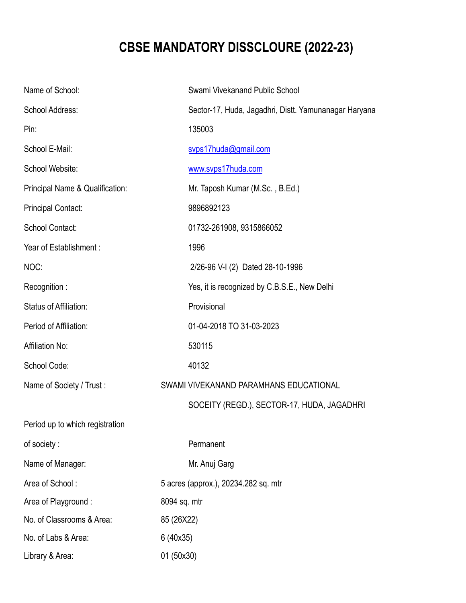## **CBSE MANDATORY DISSCLOURE (2022-23)**

| Name of School:                 | Swami Vivekanand Public School                        |
|---------------------------------|-------------------------------------------------------|
| School Address:                 | Sector-17, Huda, Jagadhri, Distt. Yamunanagar Haryana |
| Pin:                            | 135003                                                |
| School E-Mail:                  | svps17huda@gmail.com                                  |
| School Website:                 | www.svps17huda.com                                    |
| Principal Name & Qualification: | Mr. Taposh Kumar (M.Sc., B.Ed.)                       |
| <b>Principal Contact:</b>       | 9896892123                                            |
| School Contact:                 | 01732-261908, 9315866052                              |
| Year of Establishment:          | 1996                                                  |
| NOC:                            | 2/26-96 V-I (2) Dated 28-10-1996                      |
| Recognition:                    | Yes, it is recognized by C.B.S.E., New Delhi          |
| <b>Status of Affiliation:</b>   | Provisional                                           |
| Period of Affiliation:          | 01-04-2018 TO 31-03-2023                              |
| <b>Affiliation No:</b>          | 530115                                                |
| School Code:                    | 40132                                                 |
| Name of Society / Trust:        | SWAMI VIVEKANAND PARAMHANS EDUCATIONAL                |
|                                 | SOCEITY (REGD.), SECTOR-17, HUDA, JAGADHRI            |
| Period up to which registration |                                                       |
| of society:                     | Permanent                                             |
| Name of Manager:                | Mr. Anuj Garg                                         |
| Area of School:                 | 5 acres (approx.), 20234.282 sq. mtr                  |
| Area of Playground:             | 8094 sq. mtr                                          |
| No. of Classrooms & Area:       | 85 (26X22)                                            |
| No. of Labs & Area:             | 6 (40x35)                                             |
| Library & Area:                 | 01 (50x30)                                            |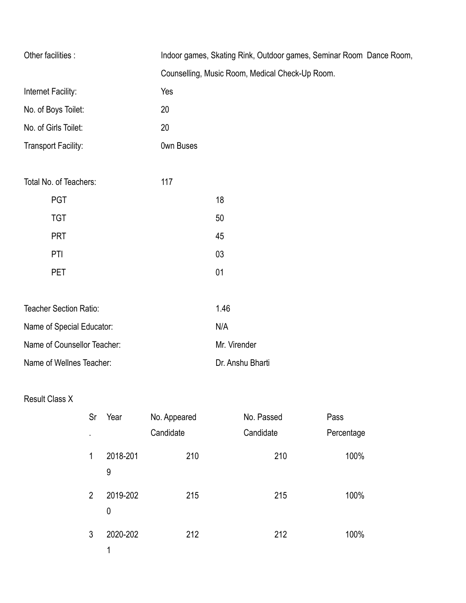| Other facilities :            | Indoor games, Skating Rink, Outdoor games, Seminar Room Dance Room, |  |
|-------------------------------|---------------------------------------------------------------------|--|
|                               | Counselling, Music Room, Medical Check-Up Room.                     |  |
| Internet Facility:            | Yes                                                                 |  |
| No. of Boys Toilet:           | 20                                                                  |  |
| No. of Girls Toilet:          | 20                                                                  |  |
| <b>Transport Facility:</b>    | <b>Own Buses</b>                                                    |  |
|                               |                                                                     |  |
| Total No. of Teachers:        | 117                                                                 |  |
| <b>PGT</b>                    | 18                                                                  |  |
| <b>TGT</b>                    | 50                                                                  |  |
| <b>PRT</b>                    | 45                                                                  |  |
| PTI                           | 03                                                                  |  |
| <b>PET</b>                    | 01                                                                  |  |
|                               |                                                                     |  |
| <b>Teacher Section Ratio:</b> | 1.46                                                                |  |
| Name of Special Educator:     | N/A                                                                 |  |
| Name of Counsellor Teacher:   | Mr. Virender                                                        |  |
| Name of Wellnes Teacher:      | Dr. Anshu Bharti                                                    |  |

## Result Class X

| Sr             | Year          | No. Appeared | No. Passed | Pass       |
|----------------|---------------|--------------|------------|------------|
| ٠              |               | Candidate    | Candidate  | Percentage |
| 1              | 2018-201<br>9 | 210          | 210        | 100%       |
| $\overline{2}$ | 2019-202<br>0 | 215          | 215        | 100%       |
| 3              | 2020-202<br>1 | 212          | 212        | 100%       |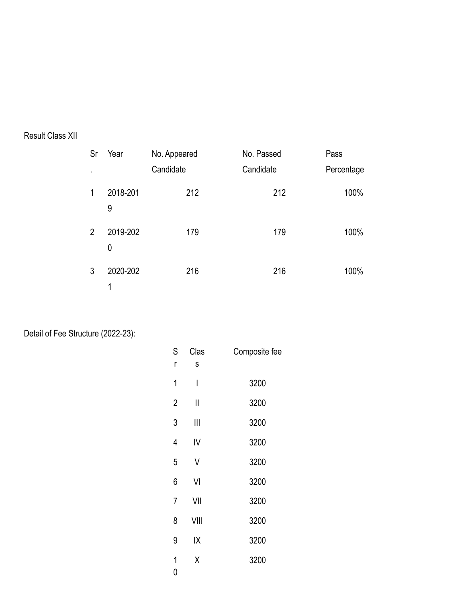## Result Class XII

| Sr             | Year          | No. Appeared | No. Passed | Pass       |
|----------------|---------------|--------------|------------|------------|
| $\blacksquare$ |               | Candidate    | Candidate  | Percentage |
| 1              | 2018-201<br>9 | 212          | 212        | 100%       |
| $\overline{2}$ | 2019-202<br>0 | 179          | 179        | 100%       |
| 3              | 2020-202<br>1 | 216          | 216        | 100%       |

Detail of Fee Structure (2022-23):

| S                   | Clas | Composite fee |
|---------------------|------|---------------|
| r                   | S    |               |
| 1                   | I    | 3200          |
| $\overline{2}$      | II   | 3200          |
| 3                   | Ⅲ    | 3200          |
| 4                   | IV   | 3200          |
| 5                   | V    | 3200          |
| 6                   | VI   | 3200          |
| 7                   | VII  | 3200          |
| 8                   | VIII | 3200          |
| 9                   | IΧ   | 3200          |
| 1<br>$\overline{0}$ | Χ    | 3200          |